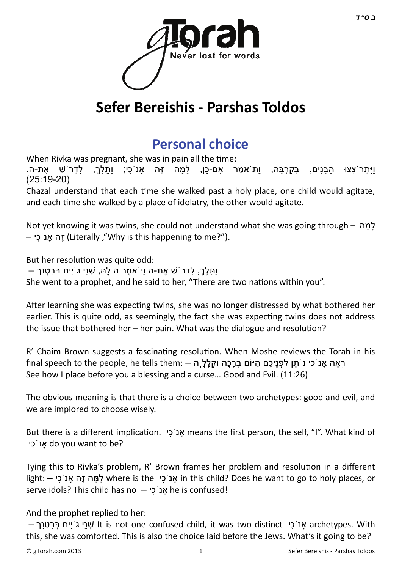

# **Sefer Bereishis - Parshas Toldos**

## **[Personal choice](http://gtorah.com/2012/11/26/personal-choice-the-choice-of-person/)**

When Rivka was pregnant, she was in pain all the time:

וַיִּתְרֹצְצוּ הִבֵּנִים, בְּקִרְבֵּהּ, וִתֹּאמֶר אִם-כַּן, לִמֵּה זֶה אנֹכִי; וִתָּלֶךָ, לִדְרֹשׁ אֶת-ה. ( 25:19-20)

Chazal understand that each time she walked past a holy place, one child would agitate, and each time she walked by a place of idolatry, the other would agitate.

Not yet knowing it was twins, she could not understand what she was going through – למה – יִכֹאָנ הֶזּ) Literally ,"Why is this happening to me?").

But her resolution was quite odd:

וּתַּלְךָ, לִדְרֹשׁ אֶת-ה וִיֹּאמֵר ה לִהּ, שִׁנֵי גֹיִים בַּבְטֵנַךְ –

She went to a prophet, and he said to her, "There are two nations within you".

After learning she was expecting twins, she was no longer distressed by what bothered her earlier. This is quite odd, as seemingly, the fact she was expecting twins does not address the issue that bothered her  $-$  her pain. What was the dialogue and resolution?

R' Chaim Brown suggests a fascinating resolution. When Moshe reviews the Torah in his רְאָה אָנֹכִי נֹתַן לִפְנִיכֶם הַיּוֹם בְּרָכָה וּקֶלֶלְ ה – :final speech to the people, he tells them See how I place before you a blessing and a curse… Good and Evil. (11:26)

The obvious meaning is that there is a choice between two archetypes: good and evil, and we are implored to choose wisely.

But there is a different implication. אנ ֹכי means the first person, the self, "I". What kind of יִכֹאָנ do you want to be?

Tying this to Rivka's problem, R' Brown frames her problem and resolution in a different light: – יִכֹאָנ הֶזּ ה ָמָּל where is the יִכֹאָנ in this child? Does he want to go to holy places, or serve idols? This child has no  $-$  יֹכִי $\kappa$  he is confused!

And the prophet replied to her:

 $-$  אַני גֹיִים בְּבַטְנַך lt is not one confused child, it was two distinct אַנֹ $\epsilon$  archetypes. With this, she was comforted. This is also the choice laid before the Jews. What's it going to be?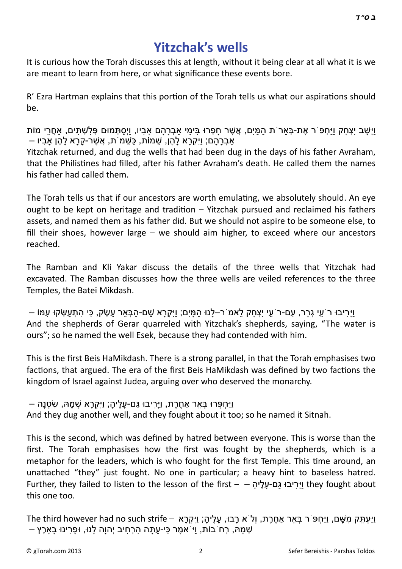#### **[Yitzchak's wells](http://gtorah.com/2011/11/22/yitzchaks-wells/)**

It is curious how the Torah discusses this at length, without it being clear at all what it is we are meant to learn from here, or what significance these events bore.

R' Ezra Hartman explains that this portion of the Torah tells us what our aspirations should be.

ּוַיָּשָׁב יִצְחָק וִיּחְפּ`ר אֶת-בָּאר`ת הַמִּים, אֲשֶׁר חַפְרוּ בִּימי אַבְרַהַם אביו, ויִסתְּמוּם פָּלֹשָׁתִּים, אַחֱרי מוֹת – אַבְרַהַם; וּיִּקְרָא לִהֶן, שַׁמּוֹת, כַּשַּׁמ<sup>ִ</sup>ת, אֲשֶׁר-קָרָא לָהֶן אָבִיו Yitzchak returned, and dug the wells that had been dug in the days of his father Avraham, that the Philistines had filled, after his father Avraham's death. He called them the names his father had called them.

The Torah tells us that if our ancestors are worth emulating, we absolutely should. An eye ought to be kept on heritage and tradition  $-$  Yitzchak pursued and reclaimed his fathers assets, and named them as his father did. But we should not aspire to be someone else, to fill their shoes, however large – we should aim higher, to exceed where our ancestors reached.

The Ramban and Kli Yakar discuss the details of the three wells that Yitzchak had excavated. The Ramban discusses how the three wells are veiled references to the three Temples, the Batei Mikdash.

וַיָּרִיבוּ רֹעֵי גְרָר, עִם-רֹעֵי יִצְחָק לֵאמ<sup>ֹ</sup> ר–לָנוּ הַמָּיִם; וַיִּקְרָא שֵׁם-הַבְּאֵר עֵשֶׂק, כִּי הִתְעַשְׂקוּ עִמּוֹ – And the shepherds of Gerar quarreled with Yitzchak's shepherds, saying, "The water is ours"; so he named the well Esek, because they had contended with him.

This is the first Beis HaMikdash. There is a strong parallel, in that the Torah emphasises two factions, that argued. The era of the first Beis HaMikdash was defined by two factions the kingdom of Israel against Judea, arguing over who deserved the monarchy.

וַיַּחְ פְּ רוּ בְּ אֵ ר אַחֶ רֶ ת, וַיָּרִ יבוּ גַּם-עָ ל ָ ֶיה; וַיִּקְ רָ א שְׁ מָ הּ, שִׂ טְ נָה – And they dug another well, and they fought about it too; so he named it Sitnah.

This is the second, which was defined by hatred between everyone. This is worse than the first. The Torah emphasises how the first was fought by the shepherds, which is a metaphor for the leaders, which is who fought for the first Temple. This time around, an unattached "they" just fought. No one in particular; a heavy hint to baseless hatred. Further, they failed to listen to the lesson of the first – – יהֶ ָ לָע- םַגּ יבוִּרָיַּו they fought about this one too.

וַיַּעְתֵּק מִשָּׁם, וַיַּחִפּ ׁר בְּאֵר אַחֱרֶת, וְלֹּא רָבוּ, עַלֵיהָ; וַיִּקְרָא – The third however had no such strife ּשְׁמָהּ, רְחֹ בוֹת, וַיּ אמֶר כִּי-עַתָּה הִרְחִיב יְהוַה לָנוּ, וּפָרִינוּ בָאַרֶץ –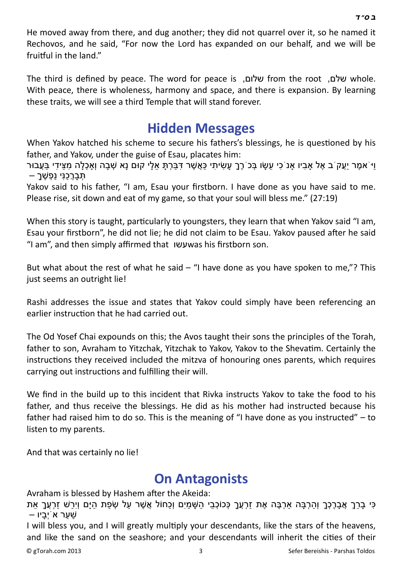He moved away from there, and dug another; they did not quarrel over it, so he named it Rechovos, and he said, "For now the Lord has expanded on our behalf, and we will be fruitful in the land."

The third is defined by peace. The word for peace is ,שלום from the root ,שלם whole. With peace, there is wholeness, harmony and space, and there is expansion. By learning these traits, we will see a third Temple that will stand forever.

#### **[Hidden Messages](http://gtorah.com/2010/11/04/hidden-messages/)**

When Yakov hatched his scheme to secure his fathers's blessings, he is questioned by his father, and Yakov, under the guise of Esau, placates him:

ֿוַיֹּ אמֶר יַעֲקֹ ב אֶל אַבִיו אַנֹ כִי עֵשָׂו בְּכֹ רֶךָ עָשִׂיתִי כַּאֲשֶׁר דִּבַּרְתָּ אֵלָי קוּם נָא שְׁבָה וְאַכְלָה מִצֵידִי בַּעֲבוּר תִּ בַרְכְנֵּי נַפְשָׁר

Yakov said to his father, "I am, Esau your firstborn. I have done as you have said to me. Please rise, sit down and eat of my game, so that your soul will bless me." (27:19)

When this story is taught, particularly to youngsters, they learn that when Yakov said "I am, Esau your firstborn", he did not lie; he did not claim to be Esau. Yakov paused after he said "I am", and then simply affirmed that עשוwas his firstborn son.

But what about the rest of what he said  $-$  "I have done as you have spoken to me,"? This just seems an outright lie!

Rashi addresses the issue and states that Yakov could simply have been referencing an earlier instruction that he had carried out.

The Od Yosef Chai expounds on this; the Avos taught their sons the principles of the Torah, father to son, Avraham to Yitzchak, Yitzchak to Yakov, Yakov to the Shevatim. Certainly the instructions they received included the mitzva of honouring ones parents, which requires carrying out instructions and fulfilling their will.

We find in the build up to this incident that Rivka instructs Yakov to take the food to his father, and thus receive the blessings. He did as his mother had instructed because his father had raised him to do so. This is the meaning of "I have done as you instructed"  $-$  to listen to my parents.

And that was certainly no lie!

#### **[On Antagonists](http://gtorah.com/2010/05/23/dvar-torah-enemies-and-haters/)**

Avraham is blessed by Hashem after the Akeida:

כִּי בָרֵךְ אֲבָרֶכְךָ וְהַרְבָּה אַרְבֶּה אֶת זַרְעֲךָ כְּכוֹכְבֵי הַשָּׁמַיִם וְכַחוֹל אֲשֶׁר עַל שְׂפַת הַיָּם וְיִרַשׁ זַרְעֵךָ אֵת שַׁ עַ ר אֹיְבָ יו –

I will bless you, and I will greatly multiply your descendants, like the stars of the heavens, and like the sand on the seashore; and your descendants will inherit the cities of their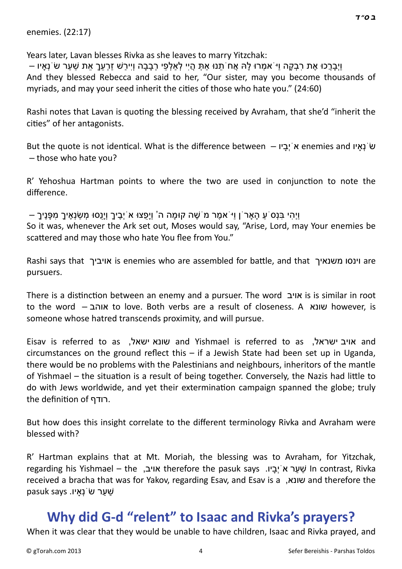enemies. (22:17)

Years later, Lavan blesses Rivka as she leaves to marry Yitzchak:

וַיְבַרֶכוּ אֶת רַבְקָה וִי ֹאמְרוּ לִהְ אֶח´תִנוּ אֹתָ הֶיי לְאַלְפִי רְבַבָה וְיִירֹשׁ זַרְעָךָ אִת שַׁעַר שֹׂנְאִיו – And they blessed Rebecca and said to her, "Our sister, may you become thousands of myriads, and may your seed inherit the cities of those who hate you." (24:60)

Rashi notes that Lavan is quoting the blessing received by Avraham, that she'd "inherit the cities" of her antagonists.

But the quote is not identical. What is the difference between – יוֹבְרִיא enemies and א – those who hate you?

R' Yehoshua Hartman points to where the two are used in conjunction to note the difference.

ּ וַיְהִי בַּנָס´ע הַארֹן וַיֹּאמֶר מ´שֶׁה קוּמַה ה' וְיַפָּצוּ אֹ יָבֶיךָ וְיַנָסוּ מִשׂנָאֵיךָ מִפָּנֵיךָ – So it was, whenever the Ark set out, Moses would say, "Arise, Lord, may Your enemies be scattered and may those who hate You flee from You."

Rashi says that וינסו משנאיך is enemies who are assembled for battle, and that וינסו משנאיך pursuers.

There is a disƟncƟon between an enemy and a pursuer. The word אויב is is similar in root to the word – אוהב to love. Both verbs are a result of closeness. A שונא however, is someone whose hatred transcends proximity, and will pursue.

Eisav is referred to as ,ישאל שונא and Yishmael is referred to as ,ישראל אויב and circumstances on the ground reflect this  $-$  if a Jewish State had been set up in Uganda, there would be no problems with the Palestinians and neighbours, inheritors of the mantle of Yishmael – the situation is a result of being together. Conversely, the Nazis had little to do with Jews worldwide, and yet their extermination campaign spanned the globe; truly the definition of רודף.

But how does this insight correlate to the different terminology Rivka and Avraham were blessed with?

R' Hartman explains that at Mt. Moriah, the blessing was to Avraham, for Yitzchak, regarding his Yishmael – the ,אויב therefore the pasuk says .יו ָבְיֹא רַע ַשׁ In contrast, Rivka received a bracha that was for Yakov, regarding Esav, and Esav is a ,שונא and therefore the שער שׂׂנאִיו. says שׁ

### **[Why did G-d "relent" to Isaac and Rivka's prayers?](http://gtorah.com/2009/11/15/why-did-g-d-relent-to-isaac-and-rivkas-prayers/)**

When it was clear that they would be unable to have children, Isaac and Rivka prayed, and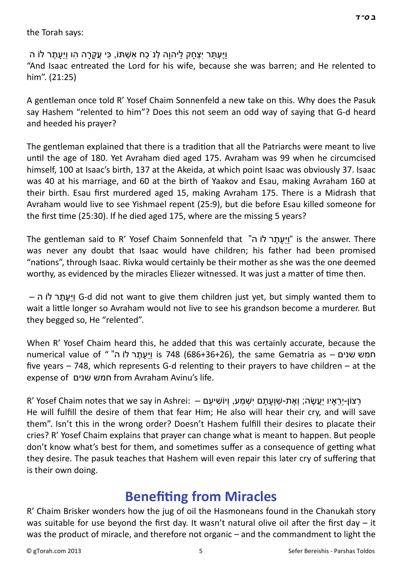the Torah says:

וַיֵּעְתַּר יִצְחַק לִיהוַה לְנֹכַח אִשָׁתּוֹ, כִּי עֵקְרַה הו וִיּעַתֶר לוֹ ה "And Isaac entreated the Lord for his wife, because she was barren; and He relented to him". (21:25)

A gentleman once told R' Yosef Chaim Sonnenfeld a new take on this. Why does the Pasuk say Hashem "relented to him"? Does this not seem an odd way of saying that G-d heard and heeded his prayer?

The gentleman explained that there is a tradition that all the Patriarchs were meant to live until the age of 180. Yet Avraham died aged 175. Avraham was 99 when he circumcised himself, 100 at Isaac's birth, 137 at the Akeida, at which point Isaac was obviously 37. Isaac was 40 at his marriage, and 60 at the birth of Yaakov and Esau, making Avraham 160 at their birth. Esau first murdered aged 15, making Avraham 175. There is a Midrash that Avraham would live to see Yishmael repent (25:9), but die before Esau killed someone for the first time (25:30). If he died aged 175, where are the missing 5 years?

The gentleman said to R' Yosef Chaim Sonnenfeld that "ה לוֹ ר ֶת ָעֵיַּו "is the answer. There was never any doubt that Isaac would have children; his father had been promised "nations", through Isaac. Rivka would certainly be their mother as she was the one deemed worthy, as evidenced by the miracles Eliezer witnessed. It was just a matter of time then.

– ה לוֹ ר ֶת ָעֵיַּו G-d did not want to give them children just yet, but simply wanted them to wait a little longer so Avraham would not live to see his grandson become a murderer. But they begged so, He "relented".

When R' Yosef Chaim heard this, he added that this was certainly accurate, because the numerical value of ""חמש שנים – is 748 (686+36+26), the same Gematria as five years  $-748$ , which represents G-d relenting to their prayers to have children  $-$  at the expense of שנים חמש from Avraham Avinu's life.

R' Yosef Chaim notes that we say in Ashrei: — רְצוֹן-יְרָאיו יַעֲשֶׂה; וְאֶת-שַׁוְעַתָּם יִשְׁמַע, וְיוֹשִׁיעַם He will fulfill the desire of them that fear Him; He also will hear their cry, and will save them". Isn't this in the wrong order? Doesn't Hashem fulfill their desires to placate their cries? R' Yosef Chaim explains that prayer can change what is meant to happen. But people don't know what's best for them, and sometimes suffer as a consequence of getting what they desire. The pasuk teaches that Hashem will even repair this later cry of suffering that is their own doing.

#### **BenefiƟ[ng from Miracles](http://gtorah.com/2009/10/21/benefitting-from-miracles/)**

R' Chaim Brisker wonders how the jug of oil the Hasmoneans found in the Chanukah story was suitable for use beyond the first day. It wasn't natural olive oil after the first day  $-$  it was the product of miracle, and therefore not organic – and the commandment to light the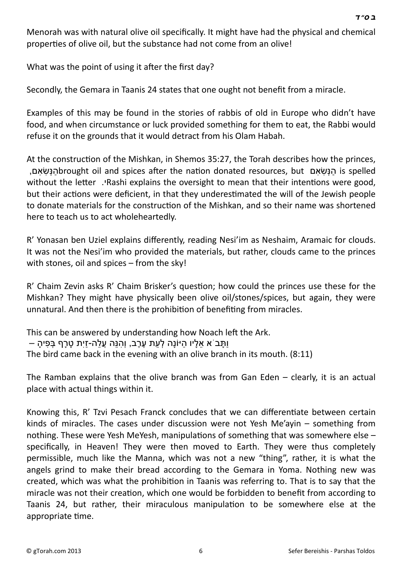Menorah was with natural olive oil specifically. It might have had the physical and chemical properties of olive oil, but the substance had not come from an olive!

What was the point of using it after the first day?

Secondly, the Gemara in Taanis 24 states that one ought not benefit from a miracle.

Examples of this may be found in the stories of rabbis of old in Europe who didn't have food, and when circumstance or luck provided something for them to eat, the Rabbi would refuse it on the grounds that it would detract from his Olam Habah.

At the construction of the Mishkan, in Shemos 35:27, the Torah describes how the princes, ,ם ִא ִשְׂנּ ַהbrought oil and spices aŌer the naƟon donated resources, but ם ִא ִשְׂנּ ַה is spelled without the letter. Pashi explains the oversight to mean that their intentions were good, but their actions were deficient, in that they underestimated the will of the Jewish people to donate materials for the construction of the Mishkan, and so their name was shortened here to teach us to act wholeheartedly.

R' Yonasan ben Uziel explains differently, reading Nesi'im as Neshaim, Aramaic for clouds. It was not the Nesi'im who provided the materials, but rather, clouds came to the princes with stones, oil and spices – from the sky!

R' Chaim Zevin asks R' Chaim Brisker's question; how could the princes use these for the Mishkan? They might have physically been olive oil/stones/spices, but again, they were unnatural. And then there is the prohibition of benefiting from miracles.

This can be answered by understanding how Noach left the Ark. וּתָּב<sup>ְיָ</sup>א אַלִיו הִיּוֹנָה לְעַת עֶרֶב, וְהִנֵּה עֵלָה-זִית טַרף בְּפִיהַ – The bird came back in the evening with an olive branch in its mouth. (8:11)

The Ramban explains that the olive branch was from Gan Eden – clearly, it is an actual place with actual things within it.

Knowing this, R' Tzvi Pesach Franck concludes that we can differentiate between certain kinds of miracles. The cases under discussion were not Yesh Me'ayin – something from nothing. These were Yesh MeYesh, manipulations of something that was somewhere else  $$ specifically, in Heaven! They were then moved to Earth. They were thus completely permissible, much like the Manna, which was not a new "thing", rather, it is what the angels grind to make their bread according to the Gemara in Yoma. Nothing new was created, which was what the prohibition in Taanis was referring to. That is to say that the miracle was not their creation, which one would be forbidden to benefit from according to Taanis 24, but rather, their miraculous manipulation to be somewhere else at the appropriate time.